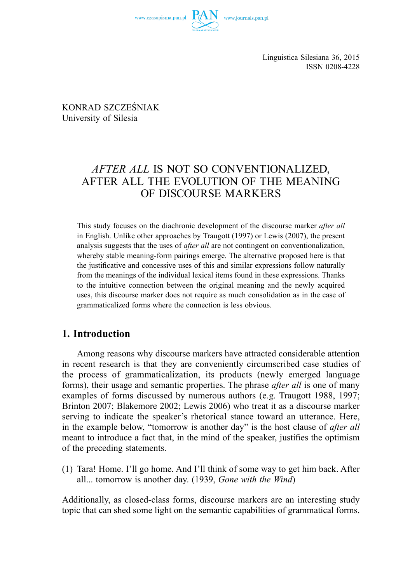

 KONRAD SZCZEŚNIAK University of Silesia

# *AFTER ALL* IS NOT SO CONVENTIONALIZED, AFTER ALL THE EVOLUTION OF THE MEANING OF DISCOURSE MARKERS

This study focuses on the diachronic development of the discourse marker *after all* in English. Unlike other approaches by Traugott (1997) or Lewis (2007), the present analysis suggests that the uses of *after all* are not contingent on conventionalization, whereby stable meaning-form pairings emerge. The alternative proposed here is that the justificative and concessive uses of this and similar expressions follow naturally from the meanings of the individual lexical items found in these expressions. Thanks to the intuitive connection between the original meaning and the newly acquired uses, this discourse marker does not require as much consolidation as in the case of grammaticalized forms where the connection is less obvious.

## **1. Introduction**

Among reasons why discourse markers have attracted considerable attention in recent research is that they are conveniently circumscribed case studies of the process of grammaticalization, its products (newly emerged language forms), their usage and semantic properties. The phrase *after all* is one of many examples of forms discussed by numerous authors (e.g. Traugott 1988, 1997; Brinton 2007; Blakemore 2002; Lewis 2006) who treat it as a discourse marker serving to indicate the speaker's rhetorical stance toward an utterance. Here, in the example below, "tomorrow is another day" is the host clause of *after all* meant to introduce a fact that, in the mind of the speaker, justifies the optimism of the preceding statements.

(1) Tara! Home. I'll go home. And I'll think of some way to get him back. After all... tomorrow is another day. (1939, *Gone with the Wind*)

Additionally, as closed-class forms, discourse markers are an interesting study topic that can shed some light on the semantic capabilities of grammatical forms.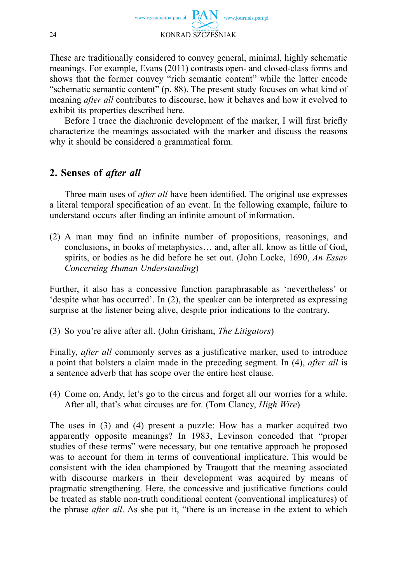

These are traditionally considered to convey general, minimal, highly schematic meanings. For example, Evans (2011) contrasts open- and closed-class forms and shows that the former convey "rich semantic content" while the latter encode "schematic semantic content" (p. 88). The present study focuses on what kind of meaning *after all* contributes to discourse, how it behaves and how it evolved to exhibit its properties described here.

Before I trace the diachronic development of the marker, I will first briefly characterize the meanings associated with the marker and discuss the reasons why it should be considered a grammatical form.

# **2. Senses of** *after all*

Three main uses of *after all* have been identified. The original use expresses a literal temporal specification of an event. In the following example, failure to understand occurs after finding an infinite amount of information.

 $(2)$  A man may find an infinite number of propositions, reasonings, and conclusions, in books of metaphysics… and, after all, know as little of God, spirits, or bodies as he did before he set out. (John Locke, 1690, *An Essay Concerning Human Understanding*)

Further, it also has a concessive function paraphrasable as 'nevertheless' or 'despite what has occurred'. In (2), the speaker can be interpreted as expressing surprise at the listener being alive, despite prior indications to the contrary.

(3) So you're alive after all. (John Grisham, *The Litigators*)

Finally, *after all* commonly serves as a justificative marker, used to introduce a point that bolsters a claim made in the preceding segment. In (4), *after all* is a sentence adverb that has scope over the entire host clause.

(4) Come on, Andy, let's go to the circus and forget all our worries for a while. After all, that's what circuses are for. (Tom Clancy, *High Wire*)

The uses in (3) and (4) present a puzzle: How has a marker acquired two apparently opposite meanings? In 1983, Levinson conceded that "proper studies of these terms" were necessary, but one tentative approach he proposed was to account for them in terms of conventional implicature. This would be consistent with the idea championed by Traugott that the meaning associated with discourse markers in their development was acquired by means of pragmatic strengthening. Here, the concessive and justificative functions could be treated as stable non-truth conditional content (conventional implicatures) of the phrase *after all*. As she put it, "there is an increase in the extent to which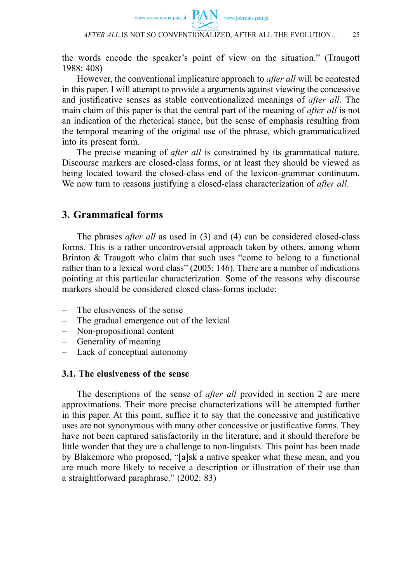

the words encode the speaker's point of view on the situation." (Traugott 1988: 408)

However, the conventional implicature approach to *after all* will be contested in this paper. I will attempt to provide a arguments against viewing the concessive and justificative senses as stable conventionalized meanings of *after all*. The main claim of this paper is that the central part of the meaning of *after all* is not an indication of the rhetorical stance, but the sense of emphasis resulting from the temporal meaning of the original use of the phrase, which grammaticalized into its present form.

The precise meaning of *after all* is constrained by its grammatical nature. Discourse markers are closed-class forms, or at least they should be viewed as being located toward the closed-class end of the lexicon-grammar continuum. We now turn to reasons justifying a closed-class characterization of *after all*.

### **3. Grammatical forms**

The phrases *after all* as used in (3) and (4) can be considered closed-class forms. This is a rather uncontroversial approach taken by others, among whom Brinton & Traugott who claim that such uses "come to belong to a functional rather than to a lexical word class" (2005: 146). There are a number of indications pointing at this particular characterization. Some of the reasons why discourse markers should be considered closed class-forms include:

- The elusiveness of the sense
- The gradual emergence out of the lexical
- Non-propositional content
- Generality of meaning
- Lack of conceptual autonomy

#### **3.1. The elusiveness of the sense**

The descriptions of the sense of *after all* provided in section 2 are mere approximations. Their more precise characterizations will be attempted further in this paper. At this point, suffice it to say that the concessive and justificative uses are not synonymous with many other concessive or justificative forms. They have not been captured satisfactorily in the literature, and it should therefore be little wonder that they are a challenge to non-linguists. This point has been made by Blakemore who proposed, "[a]sk a native speaker what these mean, and you are much more likely to receive a description or illustration of their use than a straightforward paraphrase." (2002: 83)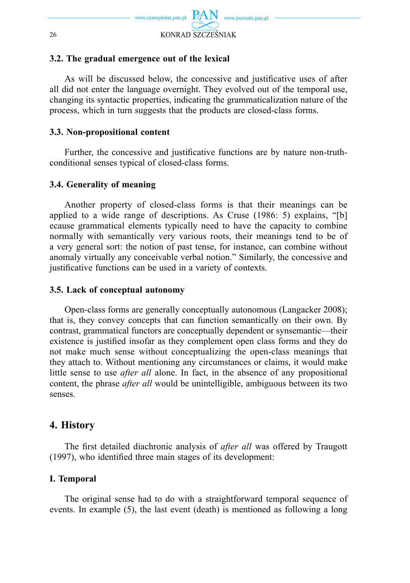

#### **3.2. The gradual emergence out of the lexical**

As will be discussed below, the concessive and justificative uses of after all did not enter the language overnight. They evolved out of the temporal use, changing its syntactic properties, indicating the grammaticalization nature of the process, which in turn suggests that the products are closed-class forms.

#### **3.3. Non-propositional content**

Further, the concessive and justificative functions are by nature non-truthconditional senses typical of closed-class forms.

#### **3.4. Generality of meaning**

Another property of closed-class forms is that their meanings can be applied to a wide range of descriptions. As Cruse (1986: 5) explains, "[b] ecause grammatical elements typically need to have the capacity to combine normally with semantically very various roots, their meanings tend to be of a very general sort: the notion of past tense, for instance, can combine without anomaly virtually any conceivable verbal notion." Similarly, the concessive and justificative functions can be used in a variety of contexts.

#### **3.5. Lack of conceptual autonomy**

Open-class forms are generally conceptually autonomous (Langacker 2008); that is, they convey concepts that can function semantically on their own. By contrast, grammatical functors are conceptually dependent or synsemantic—their existence is justified insofar as they complement open class forms and they do not make much sense without conceptualizing the open-class meanings that they attach to. Without mentioning any circumstances or claims, it would make little sense to use *after all* alone. In fact, in the absence of any propositional content, the phrase *after all* would be unintelligible, ambiguous between its two senses.

## **4. History**

The first detailed diachronic analysis of *after all* was offered by Traugott  $(1997)$ , who identified three main stages of its development:

### **I. Temporal**

The original sense had to do with a straightforward temporal sequence of events. In example (5), the last event (death) is mentioned as following a long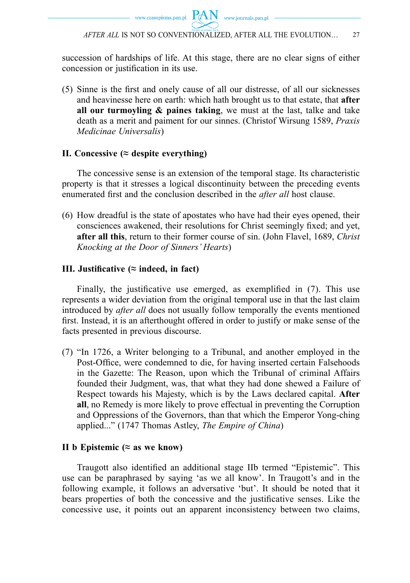succession of hardships of life. At this stage, there are no clear signs of either concession or justification in its use.

(5) Sinne is the first and onely cause of all our distresse, of all our sicknesses and heavinesse here on earth: which hath brought us to that estate, that **after all our turmoyling & paines taking**, we must at the last, talke and take death as a merit and paiment for our sinnes. (Christof Wirsung 1589, *Praxis Medicinae Universalis*)

### **II. Concessive (≈ despite everything)**

The concessive sense is an extension of the temporal stage. Its characteristic property is that it stresses a logical discontinuity between the preceding events enumerated first and the conclusion described in the *after all* host clause.

(6) How dreadful is the state of apostates who have had their eyes opened, their consciences awakened, their resolutions for Christ seemingly fixed; and yet, **after all this**, return to their former course of sin. (John Flavel, 1689, *Christ Knocking at the Door of Sinners' Hearts*)

### **III.** Justificative ( $\approx$  indeed, in fact)

Finally, the justificative use emerged, as exemplified in  $(7)$ . This use represents a wider deviation from the original temporal use in that the last claim introduced by *after all* does not usually follow temporally the events mentioned first. Instead, it is an afterthought offered in order to justify or make sense of the facts presented in previous discourse.

(7) "In 1726, a Writer belonging to a Tribunal, and another employed in the Post-Office, were condemned to die, for having inserted certain Falsehoods in the Gazette: The Reason, upon which the Tribunal of criminal Affairs founded their Judgment, was, that what they had done shewed a Failure of Respect towards his Majesty, which is by the Laws declared capital. **After all**, no Remedy is more likely to prove effectual in preventing the Corruption and Oppressions of the Governors, than that which the Emperor Yong-ching applied..." (1747 Thomas Astley, *The Empire of China*)

### **II b Epistemic (≈ as we know)**

Traugott also identified an additional stage IIb termed "Epistemic". This use can be paraphrased by saying 'as we all know'. In Traugott's and in the following example, it follows an adversative 'but'. It should be noted that it bears properties of both the concessive and the justificative senses. Like the concessive use, it points out an apparent inconsistency between two claims,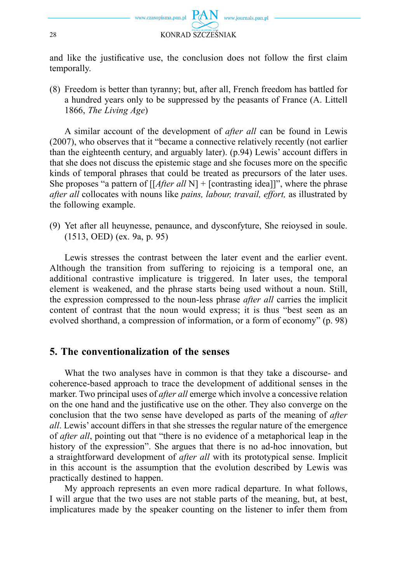

and like the justificative use, the conclusion does not follow the first claim temporally.

(8) Freedom is better than tyranny; but, after all, French freedom has battled for a hundred years only to be suppressed by the peasants of France (A. Littell 1866, *The Living Age*)

A similar account of the development of *after all* can be found in Lewis (2007), who observes that it "became a connective relatively recently (not earlier than the eighteenth century, and arguably later). (p.94) Lewis' account differs in that she does not discuss the epistemic stage and she focuses more on the specific kinds of temporal phrases that could be treated as precursors of the later uses. She proposes "a pattern of [[*After all* N] + [contrasting idea]]", where the phrase *after all* collocates with nouns like *pains, labour, travail, effort,* as illustrated by the following example.

(9) Yet after all heuynesse, penaunce, and dysconfyture, She reioysed in soule. (1513, OED) (ex. 9a, p. 95)

Lewis stresses the contrast between the later event and the earlier event. Although the transition from suffering to rejoicing is a temporal one, an additional contrastive implicature is triggered. In later uses, the temporal element is weakened, and the phrase starts being used without a noun. Still, the expression compressed to the noun-less phrase *after all* carries the implicit content of contrast that the noun would express; it is thus "best seen as an evolved shorthand, a compression of information, or a form of economy" (p. 98)

### **5. The conventionalization of the senses**

What the two analyses have in common is that they take a discourse- and coherence-based approach to trace the development of additional senses in the marker. Two principal uses of *after all* emerge which involve a concessive relation on the one hand and the justificative use on the other. They also converge on the conclusion that the two sense have developed as parts of the meaning of *after all*. Lewis' account differs in that she stresses the regular nature of the emergence of *after all*, pointing out that "there is no evidence of a metaphorical leap in the history of the expression". She argues that there is no ad-hoc innovation, but a straightforward development of *after all* with its prototypical sense. Implicit in this account is the assumption that the evolution described by Lewis was practically destined to happen.

My approach represents an even more radical departure. In what follows, I will argue that the two uses are not stable parts of the meaning, but, at best, implicatures made by the speaker counting on the listener to infer them from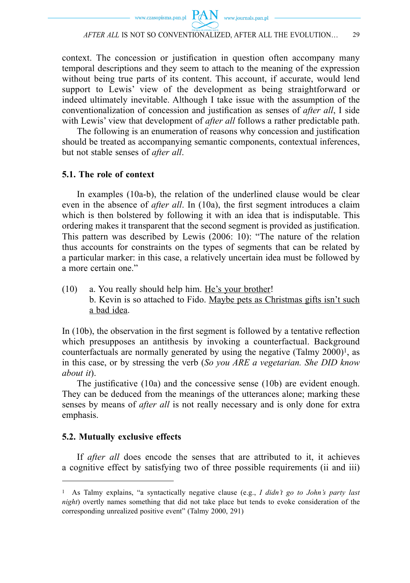

context. The concession or justification in question often accompany many temporal descriptions and they seem to attach to the meaning of the expression without being true parts of its content. This account, if accurate, would lend support to Lewis' view of the development as being straightforward or indeed ultimately inevitable. Although I take issue with the assumption of the conventionalization of concession and justification as senses of *after all*, I side with Lewis' view that development of *after all* follows a rather predictable path.

The following is an enumeration of reasons why concession and justification should be treated as accompanying semantic components, contextual inferences, but not stable senses of *after all*.

#### **5.1. The role of context**

In examples (10a-b), the relation of the underlined clause would be clear even in the absence of *after all*. In (10a), the first segment introduces a claim which is then bolstered by following it with an idea that is indisputable. This ordering makes it transparent that the second segment is provided as justification. This pattern was described by Lewis (2006: 10): "The nature of the relation thus accounts for constraints on the types of segments that can be related by a particular marker: in this case, a relatively uncertain idea must be followed by a more certain one."

(10) a. You really should help him. He's your brother! b. Kevin is so attached to Fido. Maybe pets as Christmas gifts isn't such a bad idea.

In  $(10b)$ , the observation in the first segment is followed by a tentative reflection which presupposes an antithesis by invoking a counterfactual. Background counterfactuals are normally generated by using the negative  $(Talmy 2000)^1$ , as in this case, or by stressing the verb (*So you ARE a vegetarian. She DID know about it*).

The justificative  $(10a)$  and the concessive sense  $(10b)$  are evident enough. They can be deduced from the meanings of the utterances alone; marking these senses by means of *after all* is not really necessary and is only done for extra emphasis.

#### **5.2. Mutually exclusive effects**

If *after all* does encode the senses that are attributed to it, it achieves a cognitive effect by satisfying two of three possible requirements (ii and iii)

<sup>1</sup> As Talmy explains, "a syntactically negative clause (e.g., *I didn't go to John's party last night*) overtly names something that did not take place but tends to evoke consideration of the corresponding unrealized positive event" (Talmy 2000, 291)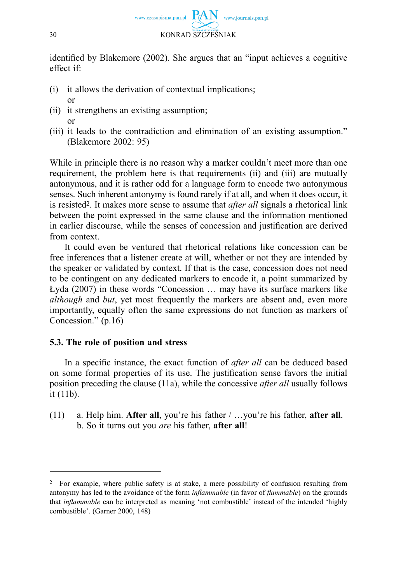

identified by Blakemore (2002). She argues that an "input achieves a cognitive effect if:

- (i) it allows the derivation of contextual implications; or
- (ii) it strengthens an existing assumption; or
- (iii) it leads to the contradiction and elimination of an existing assumption." (Blakemore 2002: 95)

While in principle there is no reason why a marker couldn't meet more than one requirement, the problem here is that requirements (ii) and (iii) are mutually antonymous, and it is rather odd for a language form to encode two antonymous senses. Such inherent antonymy is found rarely if at all, and when it does occur, it is resisted2. It makes more sense to assume that *after all* signals a rhetorical link between the point expressed in the same clause and the information mentioned in earlier discourse, while the senses of concession and justification are derived from context.

It could even be ventured that rhetorical relations like concession can be free inferences that a listener create at will, whether or not they are intended by the speaker or validated by context. If that is the case, concession does not need to be contingent on any dedicated markers to encode it, a point summarized by Łyda (2007) in these words "Concession … may have its surface markers like *although* and *but*, yet most frequently the markers are absent and, even more importantly, equally often the same expressions do not function as markers of Concession." (p.16)

### **5.3. The role of position and stress**

In a specific instance, the exact function of *after all* can be deduced based on some formal properties of its use. The justification sense favors the initial position preceding the clause (11a), while the concessive *after all* usually follows it (11b).

(11) a. Help him. **After all**, you're his father / …you're his father, **after all**. b. So it turns out you *are* his father, **after all**!

<sup>2</sup> For example, where public safety is at stake, a mere possibility of confusion resulting from antonymy has led to the avoidance of the form *inflammable* (in favor of *flammable*) on the grounds that *inflammable* can be interpreted as meaning 'not combustible' instead of the intended 'highly combustible'. (Garner 2000, 148)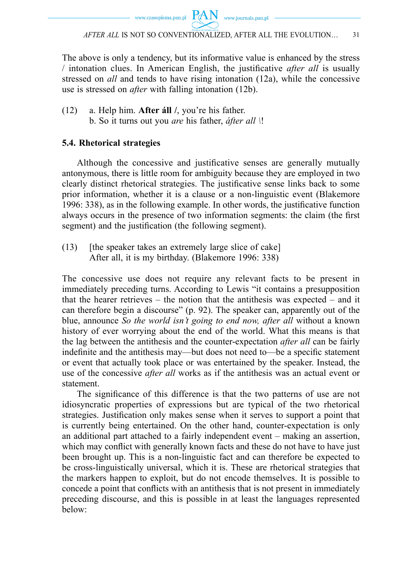www.czasopisma.pan.pl  $PAN$  www.journals.pan.pl

*AFTER ALL* IS NOT SO CONVENTIONALIZED, AFTER ALL THE EVOLUTION… 31

The above is only a tendency, but its informative value is enhanced by the stress *l* intonation clues. In American English, the justificative *after all* is usually stressed on *all* and tends to have rising intonation (12a), while the concessive use is stressed on *after* with falling intonation (12b).

(12) a. Help him. **After áll /**, you're his father. b. So it turns out you *are* his father, *áfter all \*!

### **5.4. Rhetorical strategies**

Although the concessive and justificative senses are generally mutually antonymous, there is little room for ambiguity because they are employed in two clearly distinct rhetorical strategies. The justificative sense links back to some prior information, whether it is a clause or a non-linguistic event (Blakemore 1996: 338), as in the following example. In other words, the justificative function always occurs in the presence of two information segments: the claim (the first segment) and the justification (the following segment).

(13) [the speaker takes an extremely large slice of cake] After all, it is my birthday. (Blakemore 1996: 338)

The concessive use does not require any relevant facts to be present in immediately preceding turns. According to Lewis "it contains a presupposition that the hearer retrieves – the notion that the antithesis was expected – and it can therefore begin a discourse" (p. 92). The speaker can, apparently out of the blue, announce *So the world isn't going to end now, after all* without a known history of ever worrying about the end of the world. What this means is that the lag between the antithesis and the counter-expectation *after all* can be fairly indefinite and the antithesis may—but does not need to—be a specific statement or event that actually took place or was entertained by the speaker. Instead, the use of the concessive *after all* works as if the antithesis was an actual event or statement.

The significance of this difference is that the two patterns of use are not idiosyncratic properties of expressions but are typical of the two rhetorical strategies. Justification only makes sense when it serves to support a point that is currently being entertained. On the other hand, counter-expectation is only an additional part attached to a fairly independent event – making an assertion, which may conflict with generally known facts and these do not have to have just been brought up. This is a non-linguistic fact and can therefore be expected to be cross-linguistically universal, which it is. These are rhetorical strategies that the markers happen to exploit, but do not encode themselves. It is possible to concede a point that conflicts with an antithesis that is not present in immediately preceding discourse, and this is possible in at least the languages represented below: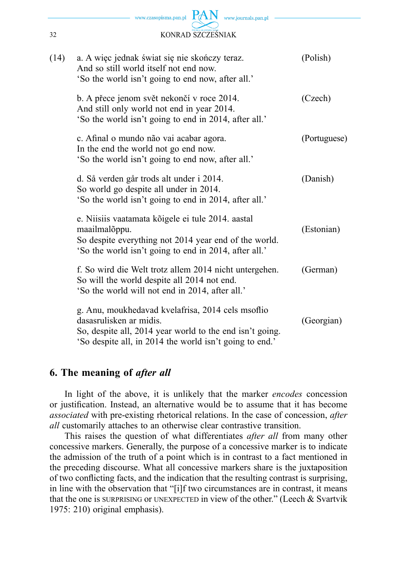

| (14) | a. A więc jednak świat się nie skończy teraz.<br>And so still world itself not end now.<br>'So the world isn't going to end now, after all.'                                                        | (Polish)     |
|------|-----------------------------------------------------------------------------------------------------------------------------------------------------------------------------------------------------|--------------|
|      | b. A přece jenom svět nekončí v roce 2014.<br>And still only world not end in year 2014.<br>'So the world isn't going to end in 2014, after all.'                                                   | (Czech)      |
|      | c. Afinal o mundo não vai acabar agora.<br>In the end the world not go end now.<br>'So the world isn't going to end now, after all.'                                                                | (Portuguese) |
|      | d. Så verden går trods alt under i 2014.<br>So world go despite all under in 2014.<br>'So the world isn't going to end in 2014, after all.'                                                         | (Danish)     |
|      | e. Niisiis vaatamata kõigele ei tule 2014. aastal<br>maailmalõppu.<br>So despite everything not 2014 year end of the world.<br>'So the world isn't going to end in 2014, after all.'                | (Estonian)   |
|      | f. So wird die Welt trotz allem 2014 nicht untergehen.<br>So will the world despite all 2014 not end.<br>'So the world will not end in 2014, after all.'                                            | (German)     |
|      | g. Anu, moukhedavad kvelafrisa, 2014 cels msoflio<br>dasasrulisken ar midis.<br>So, despite all, 2014 year world to the end isn't going.<br>'So despite all, in 2014 the world isn't going to end.' | (Georgian)   |

## **6. The meaning of** *after all*

In light of the above, it is unlikely that the marker *encodes* concession or justification. Instead, an alternative would be to assume that it has become *associated* with pre-existing rhetorical relations. In the case of concession, *after all* customarily attaches to an otherwise clear contrastive transition.

This raises the question of what differentiates *after all* from many other concessive markers. Generally, the purpose of a concessive marker is to indicate the admission of the truth of a point which is in contrast to a fact mentioned in the preceding discourse. What all concessive markers share is the juxtaposition of two conflicting facts, and the indication that the resulting contrast is surprising, in line with the observation that "[i]f two circumstances are in contrast, it means that the one is SURPRISING or UNEXPECTED in view of the other." (Leech & Svartvik 1975: 210) original emphasis).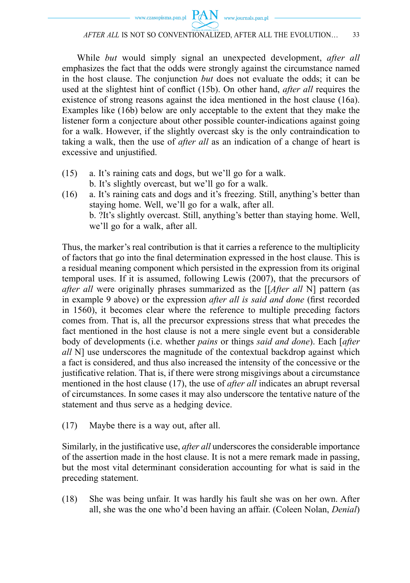While *but* would simply signal an unexpected development, *after all* emphasizes the fact that the odds were strongly against the circumstance named in the host clause. The conjunction *but* does not evaluate the odds; it can be used at the slightest hint of conflict (15b). On other hand, *after all* requires the existence of strong reasons against the idea mentioned in the host clause (16a). Examples like (16b) below are only acceptable to the extent that they make the listener form a conjecture about other possible counter-indications against going for a walk. However, if the slightly overcast sky is the only contraindication to taking a walk, then the use of *after all* as an indication of a change of heart is excessive and unjustified.

- (15) a. It's raining cats and dogs, but we'll go for a walk. b. It's slightly overcast, but we'll go for a walk.
- (16) a. It's raining cats and dogs and it's freezing. Still, anything's better than staying home. Well, we'll go for a walk, after all. b. ?It's slightly overcast. Still, anything's better than staying home. Well, we'll go for a walk, after all.

Thus, the marker's real contribution is that it carries a reference to the multiplicity of factors that go into the final determination expressed in the host clause. This is a residual meaning component which persisted in the expression from its original temporal uses. If it is assumed, following Lewis (2007), that the precursors of *after all* were originally phrases summarized as the [[*After all* N] pattern (as in example 9 above) or the expression *after all is said and done* (first recorded in 1560), it becomes clear where the reference to multiple preceding factors comes from. That is, all the precursor expressions stress that what precedes the fact mentioned in the host clause is not a mere single event but a considerable body of developments (i.e. whether *pains* or things *said and done*). Each [*after all* N] use underscores the magnitude of the contextual backdrop against which a fact is considered, and thus also increased the intensity of the concessive or the justificative relation. That is, if there were strong misgivings about a circumstance mentioned in the host clause (17), the use of *after all* indicates an abrupt reversal of circumstances. In some cases it may also underscore the tentative nature of the statement and thus serve as a hedging device.

(17) Maybe there is a way out, after all.

Similarly, in the justificative use, *after all* underscores the considerable importance of the assertion made in the host clause. It is not a mere remark made in passing, but the most vital determinant consideration accounting for what is said in the preceding statement.

(18) She was being unfair. It was hardly his fault she was on her own. After all, she was the one who'd been having an affair. (Coleen Nolan, *Denial*)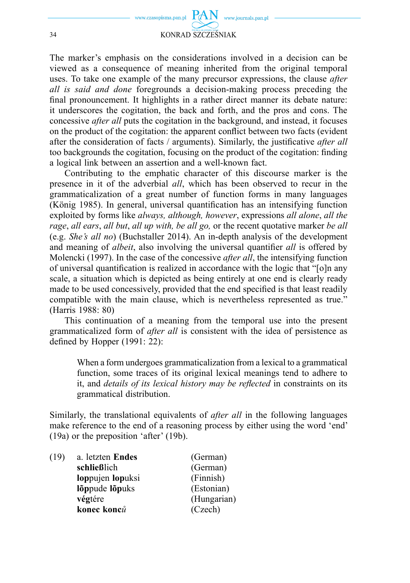

The marker's emphasis on the considerations involved in a decision can be viewed as a consequence of meaning inherited from the original temporal uses. To take one example of the many precursor expressions, the clause *after all is said and done* foregrounds a decision-making process preceding the final pronouncement. It highlights in a rather direct manner its debate nature: it underscores the cogitation, the back and forth, and the pros and cons. The concessive *after all* puts the cogitation in the background, and instead, it focuses on the product of the cogitation: the apparent conflict between two facts (evident after the consideration of facts / arguments). Similarly, the justificative *after all* too backgrounds the cogitation, focusing on the product of the cogitation: finding a logical link between an assertion and a well-known fact.

Contributing to the emphatic character of this discourse marker is the presence in it of the adverbial *all*, which has been observed to recur in the grammaticalization of a great number of function forms in many languages (König 1985). In general, universal quantification has an intensifying function exploited by forms like *always, although, however*, expressions *all alone*, *all the rage*, *all ears*, *all but*, *all up with, be all go,* or the recent quotative marker *be all* (e.g. *She's all no*) (Buchstaller 2014). An in-depth analysis of the development and meaning of *albeit*, also involving the universal quantifier *all* is offered by Molencki (1997). In the case of the concessive *after all*, the intensifying function of universal quantification is realized in accordance with the logic that "[o]n any scale, a situation which is depicted as being entirely at one end is clearly ready made to be used concessively, provided that the end specified is that least readily compatible with the main clause, which is nevertheless represented as true." (Harris 1988: 80)

This continuation of a meaning from the temporal use into the present grammaticalized form of *after all* is consistent with the idea of persistence as defined by Hopper  $(1991: 22)$ :

 When a form undergoes grammaticalization from a lexical to a grammatical function, some traces of its original lexical meanings tend to adhere to it, and *details of its lexical history may be reflected* in constraints on its grammatical distribution.

Similarly, the translational equivalents of *after all* in the following languages make reference to the end of a reasoning process by either using the word 'end' (19a) or the preposition 'after' (19b).

| (19) | a. letzten Endes | (German)    |
|------|------------------|-------------|
|      | schließlich      | (German)    |
|      | loppujen lopuksi | (Finnish)   |
|      | lõppude lõpuks   | (Estonian)  |
|      | végtére          | (Hungarian) |
|      | konec konců      | (Czech)     |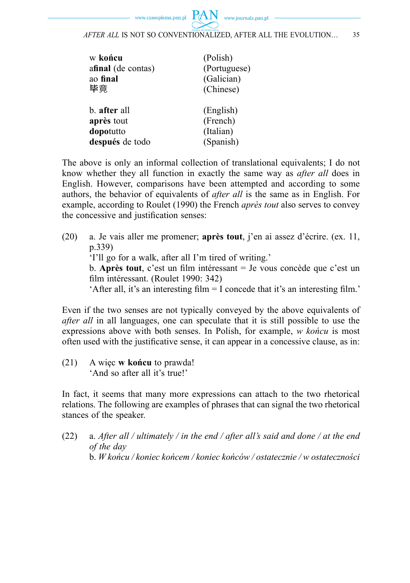| (Polish)     |
|--------------|
| (Portuguese) |
| (Galician)   |
| (Chinese)    |
|              |
| (English)    |
| (French)     |
| (Italian)    |
| (Spanish)    |
|              |

The above is only an informal collection of translational equivalents; I do not know whether they all function in exactly the same way as *after all* does in English. However, comparisons have been attempted and according to some authors, the behavior of equivalents of *after all* is the same as in English. For example, according to Roulet (1990) the French *après tout* also serves to convey the concessive and justification senses:

(20) a. Je vais aller me promener; **après tout**, j'en ai assez d'écrire. (ex. 11, p.339) 'I'll go for a walk, after all I'm tired of writing.' b. **Après tout**, c'est un film intéressant = Je vous concède que c'est un film intéressant. (Roulet 1990: 342) 'After all, it's an interesting film  $= I$  concede that it's an interesting film.'

Even if the two senses are not typically conveyed by the above equivalents of *after all* in all languages, one can speculate that it is still possible to use the expressions above with both senses. In Polish, for example, *w końcu* is most often used with the justificative sense, it can appear in a concessive clause, as in:

(21) A więc **w końcu** to prawda! 'And so after all it's true!'

In fact, it seems that many more expressions can attach to the two rhetorical relations. The following are examples of phrases that can signal the two rhetorical stances of the speaker.

(22) a. *After all / ultimately / in the end / after all's said and done / at the end of the day* b. *W końcu / koniec końcem / koniec końców / ostatecznie / w ostateczności*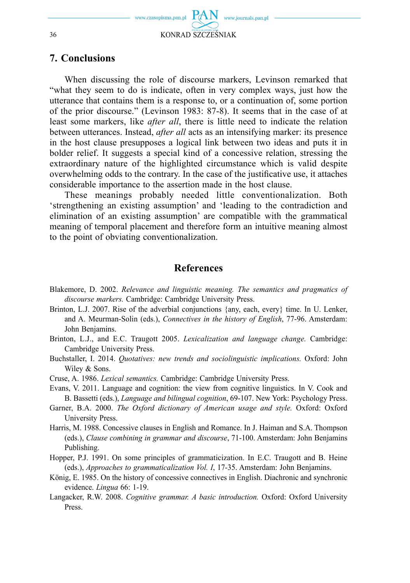

### **7. Conclusions**

When discussing the role of discourse markers, Levinson remarked that "what they seem to do is indicate, often in very complex ways, just how the utterance that contains them is a response to, or a continuation of, some portion of the prior discourse." (Levinson 1983: 87-8). It seems that in the case of at least some markers, like *after all*, there is little need to indicate the relation between utterances. Instead, *after all* acts as an intensifying marker: its presence in the host clause presupposes a logical link between two ideas and puts it in bolder relief. It suggests a special kind of a concessive relation, stressing the extraordinary nature of the highlighted circumstance which is valid despite overwhelming odds to the contrary. In the case of the justificative use, it attaches considerable importance to the assertion made in the host clause.

These meanings probably needed little conventionalization. Both 'strengthening an existing assumption' and 'leading to the contradiction and elimination of an existing assumption' are compatible with the grammatical meaning of temporal placement and therefore form an intuitive meaning almost to the point of obviating conventionalization.

#### **References**

- Blakemore, D. 2002. *Relevance and linguistic meaning. The semantics and pragmatics of discourse markers.* Cambridge: Cambridge University Press.
- Brinton, L.J. 2007. Rise of the adverbial conjunctions {any, each, every} time. In U. Lenker, and A. Meurman-Solin (eds.), *Connectives in the history of English*, 77-96. Amsterdam: John Benjamins.
- Brinton, L.J., and E.C. Traugott 2005. *Lexicalization and language change.* Cambridge: Cambridge University Press.
- Buchstaller, I. 2014. *Quotatives: new trends and sociolinguistic implications.* Oxford: John Wiley & Sons.
- Cruse, A. 1986. *Lexical semantics.* Cambridge: Cambridge University Press.
- Evans, V. 2011. Language and cognition: the view from cognitive linguistics. In V. Cook and B. Bassetti (eds.), *Language and bilingual cognition*, 69-107. New York: Psychology Press.
- Garner, B.A. 2000. *The Oxford dictionary of American usage and style.* Oxford: Oxford University Press.
- Harris, M. 1988. Concessive clauses in English and Romance. In J. Haiman and S.A. Thompson (eds.), *Clause combining in grammar and discourse*, 71-100. Amsterdam: John Benjamins Publishing.
- Hopper, P.J. 1991. On some principles of grammaticization. In E.C. Traugott and B. Heine (eds.), *Approaches to grammaticalization Vol. I*, 17-35. Amsterdam: John Benjamins.
- König, E. 1985. On the history of concessive connectives in English. Diachronic and synchronic evidence. *Lingua* 66: 1-19.
- Langacker, R.W. 2008. *Cognitive grammar. A basic introduction.* Oxford: Oxford University Press.